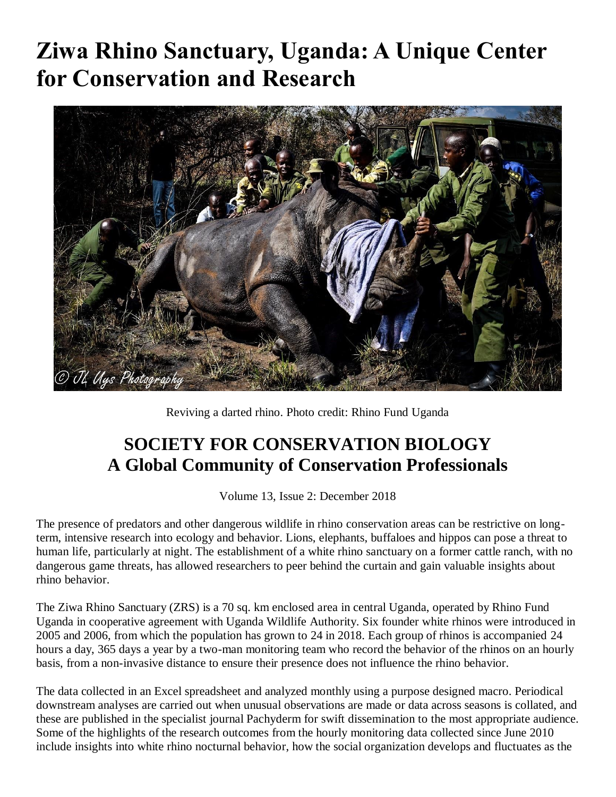## **Ziwa Rhino Sanctuary, Uganda: A Unique Center for Conservation and Research**



Reviving a darted rhino. Photo credit: Rhino Fund Uganda

## **SOCIETY FOR CONSERVATION BIOLOGY A Global Community of Conservation Professionals**

Volume 13, Issue 2: December 2018

The presence of predators and other dangerous wildlife in rhino conservation areas can be restrictive on longterm, intensive research into ecology and behavior. Lions, elephants, buffaloes and hippos can pose a threat to human life, particularly at night. The establishment of a white rhino sanctuary on a former cattle ranch, with no dangerous game threats, has allowed researchers to peer behind the curtain and gain valuable insights about rhino behavior.

The Ziwa Rhino Sanctuary (ZRS) is a 70 sq. km enclosed area in central Uganda, operated by Rhino Fund Uganda in cooperative agreement with Uganda Wildlife Authority. Six founder white rhinos were introduced in 2005 and 2006, from which the population has grown to 24 in 2018. Each group of rhinos is accompanied 24 hours a day, 365 days a year by a two-man monitoring team who record the behavior of the rhinos on an hourly basis, from a non-invasive distance to ensure their presence does not influence the rhino behavior.

The data collected in an Excel spreadsheet and analyzed monthly using a purpose designed macro. Periodical downstream analyses are carried out when unusual observations are made or data across seasons is collated, and these are published in the specialist journal Pachyderm for swift dissemination to the most appropriate audience. Some of the highlights of the research outcomes from the hourly monitoring data collected since June 2010 include insights into white rhino nocturnal behavior, how the social organization develops and fluctuates as the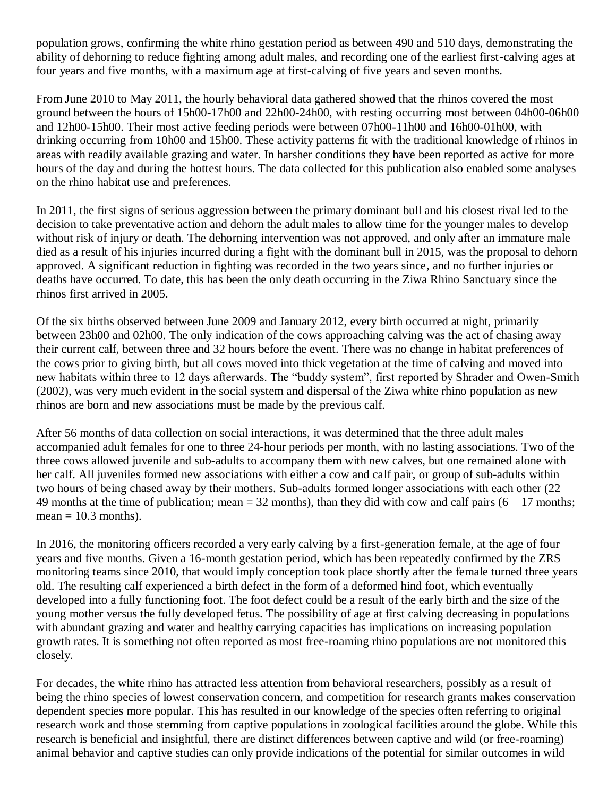population grows, confirming the white rhino gestation period as between 490 and 510 days, demonstrating the ability of dehorning to reduce fighting among adult males, and recording one of the earliest first-calving ages at four years and five months, with a maximum age at first-calving of five years and seven months.

From June 2010 to May 2011, the hourly behavioral data gathered showed that the rhinos covered the most ground between the hours of 15h00-17h00 and 22h00-24h00, with resting occurring most between 04h00-06h00 and 12h00-15h00. Their most active feeding periods were between 07h00-11h00 and 16h00-01h00, with drinking occurring from 10h00 and 15h00. These activity patterns fit with the traditional knowledge of rhinos in areas with readily available grazing and water. In harsher conditions they have been reported as active for more hours of the day and during the hottest hours. The data collected for this publication also enabled some analyses on the rhino habitat use and preferences.

In 2011, the first signs of serious aggression between the primary dominant bull and his closest rival led to the decision to take preventative action and dehorn the adult males to allow time for the younger males to develop without risk of injury or death. The dehorning intervention was not approved, and only after an immature male died as a result of his injuries incurred during a fight with the dominant bull in 2015, was the proposal to dehorn approved. A significant reduction in fighting was recorded in the two years since, and no further injuries or deaths have occurred. To date, this has been the only death occurring in the Ziwa Rhino Sanctuary since the rhinos first arrived in 2005.

Of the six births observed between June 2009 and January 2012, every birth occurred at night, primarily between 23h00 and 02h00. The only indication of the cows approaching calving was the act of chasing away their current calf, between three and 32 hours before the event. There was no change in habitat preferences of the cows prior to giving birth, but all cows moved into thick vegetation at the time of calving and moved into new habitats within three to 12 days afterwards. The "buddy system", first reported by Shrader and Owen-Smith (2002), was very much evident in the social system and dispersal of the Ziwa white rhino population as new rhinos are born and new associations must be made by the previous calf.

After 56 months of data collection on social interactions, it was determined that the three adult males accompanied adult females for one to three 24-hour periods per month, with no lasting associations. Two of the three cows allowed juvenile and sub-adults to accompany them with new calves, but one remained alone with her calf. All juveniles formed new associations with either a cow and calf pair, or group of sub-adults within two hours of being chased away by their mothers. Sub-adults formed longer associations with each other (22 – 49 months at the time of publication; mean  $=$  32 months), than they did with cow and calf pairs (6 – 17 months;  $mean = 10.3$  months).

In 2016, the monitoring officers recorded a very early calving by a first-generation female, at the age of four years and five months. Given a 16-month gestation period, which has been repeatedly confirmed by the ZRS monitoring teams since 2010, that would imply conception took place shortly after the female turned three years old. The resulting calf experienced a birth defect in the form of a deformed hind foot, which eventually developed into a fully functioning foot. The foot defect could be a result of the early birth and the size of the young mother versus the fully developed fetus. The possibility of age at first calving decreasing in populations with abundant grazing and water and healthy carrying capacities has implications on increasing population growth rates. It is something not often reported as most free-roaming rhino populations are not monitored this closely.

For decades, the white rhino has attracted less attention from behavioral researchers, possibly as a result of being the rhino species of lowest conservation concern, and competition for research grants makes conservation dependent species more popular. This has resulted in our knowledge of the species often referring to original research work and those stemming from captive populations in zoological facilities around the globe. While this research is beneficial and insightful, there are distinct differences between captive and wild (or free-roaming) animal behavior and captive studies can only provide indications of the potential for similar outcomes in wild